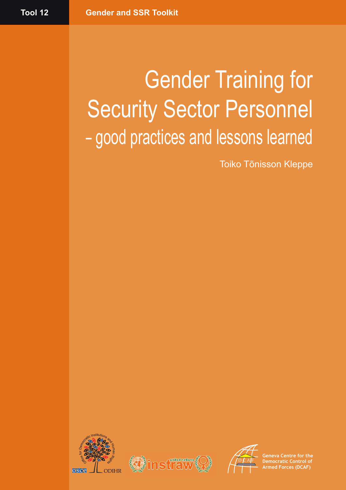# Gender Training for Security Sector Personnel – good practices and lessons learned

Toiko Tõnisson Kleppe







**Geneva Centre for the Democratic Control of Armed Forces (DCAF)**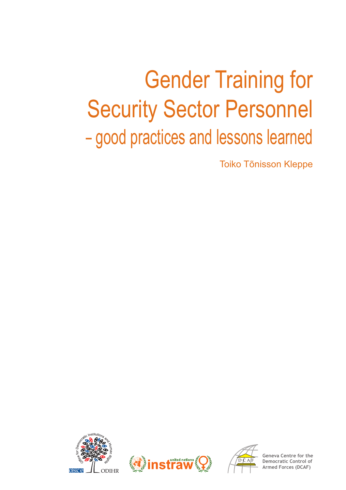# Gender Training for **Security Sector Personnel** – good practices and lessons learned

Toiko Tõnisson Kleppe







**Geneva Centre for the** ntrol of **Armed Forces (DCAF)**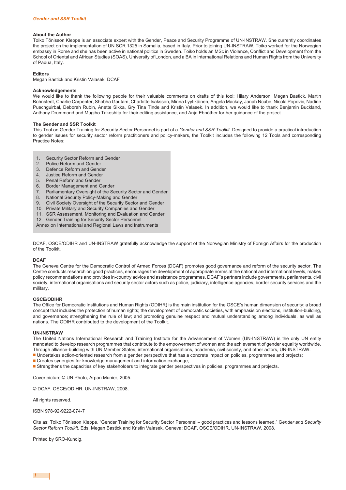#### **About the Author**

Toiko Tõnisson Kleppe is an associate expert with the Gender, Peace and Security Programme of UN-INSTRAW. She currently coordinates the project on the implementation of UN SCR 1325 in Somalia, based in Italy. Prior to joining UN-INSTRAW, Toiko worked for the Norwegian embassy in Rome and she has been active in national politics in Sweden. Toiko holds an MSc in Violence, Conflict and Development from the School of Oriental and African Studies (SOAS), University of London, and a BA in International Relations and Human Rights from the University of Padua, Italy.

#### **Editors**

Megan Bastick and Kristin Valasek, DCAF

#### **Acknowledgements**

We would like to thank the following people for their valuable comments on drafts of this tool: Hilary Anderson, Megan Bastick, Martin Bohnstedt, Charlie Carpenter, Shobha Gautam, Charlotte Isaksson, Minna Lyytikäinen, Angela Mackay, Janah Ncube, Nicola Popovic, Nadine Puechguirbal, Deborah Rubin, Anette Sikka, Gry Tina Tinde and Kristin Valasek. In addition, we would like to thank Benjamin Buckland, Anthony Drummond and Mugiho Takeshita for their editing assistance, and Anja Ebnöther for her guidance of the project.

#### **The Gender and SSR Toolkit**

This Tool on Gender Training for Security Sector Personnel is part of a *Gender and SSR Toolkit.* Designed to provide a practical introduction to gender issues for security sector reform practitioners and policy-makers, the Toolkit includes the following 12 Tools and corresponding Practice Notes:

- 1. Security Sector Reform and Gender
- 
- 2. Police Reform and Gender<br>3. Defence Reform and Gend Defence Reform and Gender
- 4. Justice Reform and Gender
- 5. Penal Reform and Gender
- 6. Border Management and Gender
- 7. Parliamentary Oversight of the Security Sector and Gender
- 8. National Security Policy-Making and Gender
- 9. Civil Society Oversight of the Security Sector and Gender
- 10. Private Military and Security Companies and Gender
- 11. SSR Assessment, Monitoring and Evaluation and Gender
- 12. Gender Training for Security Sector Personnel
- Annex on International and Regional Laws and Instruments

DCAF, OSCE/ODIHR and UN-INSTRAW gratefully acknowledge the support of the Norwegian Ministry of Foreign Affairs for the production of the Toolkit.

#### **DCAF**

The Geneva Centre for the Democratic Control of Armed Forces (DCAF) promotes good governance and reform of the security sector. The Centre conducts research on good practices, encourages the development of appropriate norms at the national and international levels, makes policy recommendations and provides in-country advice and assistance programmes. DCAF's partners include governments, parliaments, civil society, international organisations and security sector actors such as police, judiciary, intelligence agencies, border security services and the military.

#### **OSCE/ODIHR**

The Office for Democratic Institutions and Human Rights (ODIHR) is the main institution for the OSCE's human dimension of security: a broad concept that includes the protection of human rights; the development of democratic societies, with emphasis on elections, institution-building, and governance; strengthening the rule of law; and promoting genuine respect and mutual understanding among individuals, as well as nations. The ODIHR contributed to the development of the Toolkit.

#### **UN-INSTRAW**

The United Nations International Research and Training Institute for the Advancement of Women (UN-INSTRAW) is the only UN entity mandated to develop research programmes that contribute to the empowerment of women and the achievement of gender equality worldwide. Through alliance-building with UN Member States, international organisations, academia, civil society, and other actors, UN-INSTRAW:

- Undertakes action-oriented research from a gender perspective that has a concrete impact on policies, programmes and projects;
- Creates synergies for knowledge management and information exchange;
- Strengthens the capacities of key stakeholders to integrate gender perspectives in policies, programmes and projects.

Cover picture © UN Photo, Arpan Munier, 2005.

© DCAF, OSCE/ODIHR, UN-INSTRAW, 2008.

All rights reserved.

ISBN 978-92-9222-074-7

Cite as: Toiko Tõnisson Kleppe. "Gender Training for Security Sector Personnel – good practices and lessons learned." G*ender and Security Sector Reform Toolkit.* Eds. Megan Bastick and Kristin Valasek. Geneva: DCAF, OSCE/ODIHR, UN-INSTRAW, 2008.

Printed by SRO-Kundig.

*i*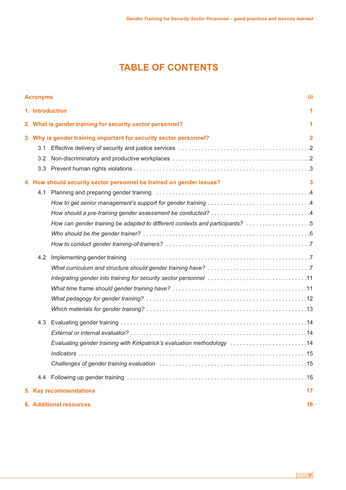## **TABLE OF CONTENTS**

|                                                                    | iii<br><b>Acronyms</b>               |                                                                                                         |                |  |  |
|--------------------------------------------------------------------|--------------------------------------|---------------------------------------------------------------------------------------------------------|----------------|--|--|
|                                                                    | 1. Introduction<br>1                 |                                                                                                         |                |  |  |
|                                                                    |                                      | 2. What is gender training for security sector personnel?                                               | 1              |  |  |
| 3. Why is gender training important for security sector personnel? |                                      |                                                                                                         | $\overline{2}$ |  |  |
|                                                                    | 3.1                                  |                                                                                                         |                |  |  |
|                                                                    | $3.2^{\circ}$                        |                                                                                                         |                |  |  |
|                                                                    | 3.3 <sub>2</sub>                     |                                                                                                         |                |  |  |
|                                                                    |                                      | 4. How should security sector personnel be trained on gender issues?                                    | 3              |  |  |
|                                                                    | 4.1                                  |                                                                                                         |                |  |  |
|                                                                    |                                      |                                                                                                         |                |  |  |
|                                                                    |                                      |                                                                                                         |                |  |  |
|                                                                    |                                      | How can gender training be adapted to different contexts and participants? 5                            |                |  |  |
|                                                                    |                                      |                                                                                                         |                |  |  |
|                                                                    |                                      |                                                                                                         |                |  |  |
|                                                                    | 4.2                                  |                                                                                                         |                |  |  |
|                                                                    |                                      |                                                                                                         |                |  |  |
|                                                                    |                                      |                                                                                                         |                |  |  |
|                                                                    |                                      |                                                                                                         |                |  |  |
|                                                                    |                                      |                                                                                                         |                |  |  |
|                                                                    |                                      |                                                                                                         |                |  |  |
|                                                                    | 4.3                                  |                                                                                                         |                |  |  |
|                                                                    |                                      |                                                                                                         |                |  |  |
|                                                                    |                                      | Evaluating gender training with Kirkpatrick's evaluation methodology [1, 1, 1, 1, 1, 1, 1, 1, 1, 1, 14] |                |  |  |
|                                                                    |                                      |                                                                                                         |                |  |  |
|                                                                    |                                      |                                                                                                         |                |  |  |
|                                                                    |                                      |                                                                                                         |                |  |  |
|                                                                    | 17<br>5. Key recommendations         |                                                                                                         |                |  |  |
|                                                                    | <b>6. Additional resources</b><br>18 |                                                                                                         |                |  |  |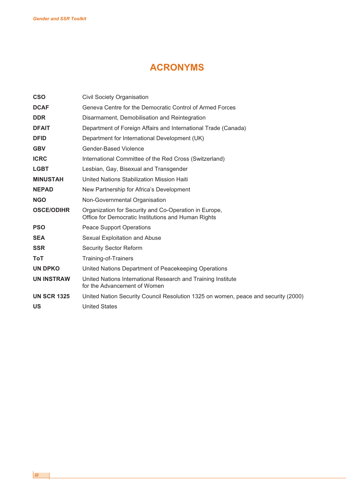### **ACRONYMS**

| <b>CSO</b>         | <b>Civil Society Organisation</b>                                                                            |
|--------------------|--------------------------------------------------------------------------------------------------------------|
| <b>DCAF</b>        | Geneva Centre for the Democratic Control of Armed Forces                                                     |
| <b>DDR</b>         | Disarmament, Demobilisation and Reintegration                                                                |
| <b>DFAIT</b>       | Department of Foreign Affairs and International Trade (Canada)                                               |
| <b>DFID</b>        | Department for International Development (UK)                                                                |
| <b>GBV</b>         | Gender-Based Violence                                                                                        |
| <b>ICRC</b>        | International Committee of the Red Cross (Switzerland)                                                       |
| <b>LGBT</b>        | Lesbian, Gay, Bisexual and Transgender                                                                       |
| <b>MINUSTAH</b>    | United Nations Stabilization Mission Haiti                                                                   |
| <b>NEPAD</b>       | New Partnership for Africa's Development                                                                     |
| <b>NGO</b>         | Non-Governmental Organisation                                                                                |
| <b>OSCE/ODIHR</b>  | Organization for Security and Co-Operation in Europe,<br>Office for Democratic Institutions and Human Rights |
| <b>PSO</b>         | <b>Peace Support Operations</b>                                                                              |
| <b>SEA</b>         | Sexual Exploitation and Abuse                                                                                |
| <b>SSR</b>         | <b>Security Sector Reform</b>                                                                                |
| ToT                | Training-of-Trainers                                                                                         |
| <b>UN DPKO</b>     | United Nations Department of Peacekeeping Operations                                                         |
| <b>UN INSTRAW</b>  | United Nations International Research and Training Institute<br>for the Advancement of Women                 |
| <b>UN SCR 1325</b> | United Nation Security Council Resolution 1325 on women, peace and security (2000)                           |
| US                 | <b>United States</b>                                                                                         |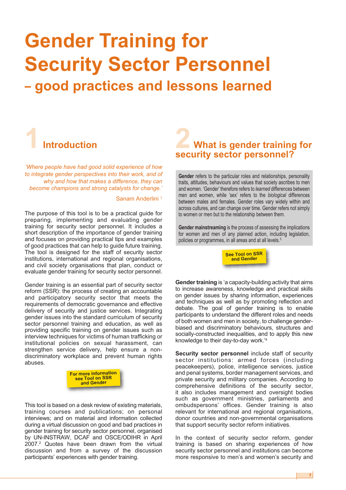# **Gender Training for Security Sector Personnel**

# **– good practices and lessons learned**



*'Where people have had good solid experience of how to integrate gender perspectives into their work, and of why and how that makes a difference, they can become champions and strong catalysts for change.'*

#### Sanam Anderlini<sup>1</sup>

The purpose of this tool is to be a practical guide for preparing, implementing and evaluating gender training for security sector personnel. It includes a short description of the importance of gender training and focuses on providing practical tips and examples of good practices that can help to guide future training. The tool is designed for the staff of security sector institutions, international and regional organisations, and civil society organisations that plan, conduct or evaluate gender training for security sector personnel.

Gender training is an essential part of security sector reform (SSR): the process of creating an accountable and participatory security sector that meets the requirements of democratic governance and effective delivery of security and justice services. Integrating gender issues into the standard curriculum of security sector personnel training and education, as well as providing specific training on gender issues such as interview techniques for victims of human trafficking or institutional policies on sexual harassment, can strengthen service delivery, help ensure a nondiscriminatory workplace and prevent human rights abuses.



This tool is based on a desk review of existing materials, training courses and publications; on personal interviews; and on material and information collected during a virtual discussion on good and bad practices in gender training for security sector personnel, organised by UN-INSTRAW, DCAF and OSCE/ODIHR in April 2007. <sup>2</sup> Quotes have been drawn from the virtual discussion and from a survey of the discussion participants' experiences with gender training.

# **2 What is gender training for security sector personnel?**

**Gender** refers to the particular roles and relationships, personality traits, attitudes, behaviours and values that society ascribes to men and women. 'Gender' therefore refers to *learned* differences between men and women, while 'sex' refers to the *biological* differences between males and females. Gender roles vary widely within and across cultures, and can change over time. Gender refers not simply to women or men but to the relationship between them.

**Gender mainstreaming** is the process of assessing the implications for women and men of any planned action, including legislation, policies or programmes, in all areas and at all levels. 3



**Gender training** is 'a capacity-building activity that aims to increase awareness, knowledge and practical skills on gender issues by sharing information, experiences and techniques as well as by promoting reflection and debate. The goal of gender training is to enable participants to understand the different roles and needs of both women and men in society, to challenge genderbiased and discriminatory behaviours, structures and socially-constructed inequalities, and to apply this new knowledge to their day-to-day work.' 4

**Security sector personnel** include staff of security sector institutions: armed forces (including peacekeepers), police, intelligence services, justice and penal systems, border management services, and private security and military companies. According to comprehensive definitions of the security sector, it also includes management and oversight bodies such as government ministries, parliaments and ombudspersons' offices. Gender training is also relevant for international and regional organisations, donor countries and non-governmental organisations that support security sector reform initiatives.

In the context of security sector reform, gender training is based on sharing experiences of how security sector personnel and institutions can become more responsive to men's and women's security and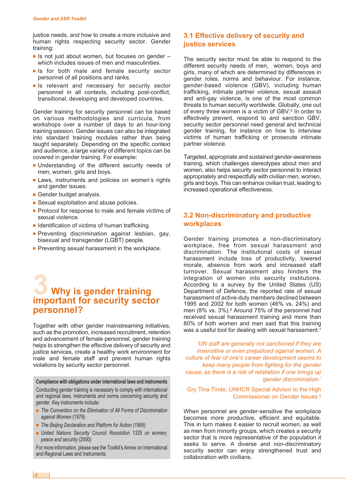justice needs, and how to create a more inclusive and human rights respecting security sector. Gender training:

- Is not just about women, but focuses on gender which includes issues of men and masculinities.
- Is for both male and female security sector personnel of all positions and ranks.
- **■** Is relevant and necessary for security sector personnel in all contexts, including post-conflict, transitional, developing and developed countries.

Gender training for security personnel can be based on various methodologies and curricula, from workshops over a number of days to an hour-long training session. Gender issues can also be integrated into standard training modules rather than being taught separately. Depending on the specific context and audience, a large variety of different topics can be covered in gender training. For example:

- **■** Understanding of the different security needs of men, women, girls and boys.
- **■** Laws, instruments and policies on women's rights and gender issues.
- **■** Gender budget analysis.
- Sexual exploitation and abuse policies.
- Protocol for response to male and female victims of sexual violence.
- Identification of victims of human trafficking.
- **•** Preventing discrimination against lesbian, gay, bisexual and transgender (LGBT) people.
- **Preventing sexual harassment in the workplace.**

### **3 Why is gender training important for security sector personnel?**

Together with other gender mainstreaming initiatives, such as the promotion, increased recruitment, retention and advancement of female personnel, gender training helps to strengthen the effective delivery of security and justice services, create a healthy work environment for male and female staff and prevent human rights violations by security sector personnel.

**Compliance with obligations under international laws and instruments**

Conducting gender training is necessary to comply with international and regional laws, instruments and norms concerning security and gender. Key instruments include:

- **■** *The Convention on the Elimination of All Forms of Discrimination against Women* (1979)
- *The Beijing Declaration and Platform for Action (1995)*
- **■** *United Nations Security Council Resolution 1325 on women, peace and security* (2000)

For more information, please see the Toolkit's Annex on International and Regional Laws and Instruments.

#### **3.1 Effective delivery of security and justice services**

The security sector must be able to respond to the different security needs of men, women, boys and girls, many of which are determined by differences in gender roles, norms and behaviour. For instance, gender-based violence (GBV), including human trafficking, intimate partner violence, sexual assault and anti-gay violence, is one of the most common threats to human security worldwide. Globally, one out of every three women is a victim of GBV. <sup>5</sup> In order to effectively prevent, respond to and sanction GBV, security sector personnel need general and technical gender training, for instance on how to interview victims of human trafficking or prosecute intimate partner violence.

Targeted, appropriate and sustained gender-awareness training, which challenges stereotypes about men and women, also helps security sector personnel to interact appropriately and respectfully with civilian men, women, girls and boys. This can enhance civilian trust, leading to increased operational effectiveness.

#### **3.2 Non-discriminatory and productive workplaces**

Gender training promotes a non-discriminatory workplace, free from sexual harassment and discrimination. The institutional costs of sexual harassment include loss of productivity, lowered morale, absence from work and increased staff turnover. Sexual harassment also hinders the integration of women into security institutions. According to a survey by the United States (US) Department of Defence, the reported rate of sexual harassment of active-duty members declined between 1995 and 2002 for both women (46% vs. 24%) and men (8% vs. 3%). <sup>6</sup> Around 75% of the personnel had received sexual harassment training and more than 80% of both women and men said that this training was a useful tool for dealing with sexual harassment.<sup>7</sup>

*'UN staff are generally not sanctioned if they are insensitive or even prejudiced against women. A culture of fear of one's career development seems to keep many people from fighting for the gender cause, as there is a risk of retaliation if one brings up gender discrimination.'*

Gry Tina Tinde, UNHCR Special Advisor to the High Commissioner on Gender Issues <sup>8</sup>

When personnel are gender-sensitive the workplace becomes more productive, efficient and equitable. This in turn makes it easier to recruit women, as well as men from minority groups, which creates a security sector that is more representative of the population it seeks to serve. A diverse and non-discriminatory security sector can enjoy strengthened trust and collaboration with civilians.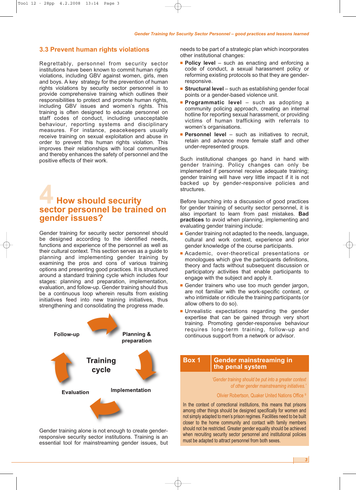#### **3.3 Prevent human rights violations**

Regrettably, personnel from security sector institutions have been known to commit human rights violations, including GBV against women, girls, men and boys. A key strategy for the prevention of human rights violations by security sector personnel is to provide comprehensive training which outlines their responsibilities to protect and promote human rights, including GBV issues and women's rights. This training is often designed to educate personnel on staff codes of conduct, including unacceptable behaviour, reporting systems and disciplinary measures. For instance, peacekeepers usually receive training on sexual exploitation and abuse in order to prevent this human rights violation. This improves their relationships with local communities and thereby enhances the safety of personnel and the positive effects of their work.

## **4 How should security sector personnel be trained on gender issues?**

Gender training for security sector personnel should be designed according to the identified needs, functions and experience of the personnel as well as their cultural context. This section serves as a guide to planning and implementing gender training by examining the pros and cons of various training options and presenting good practices. It is structured around a standard training cycle which includes four stages: planning and preparation, implementation, evaluation, and follow-up. Gender training should thus be a continuous loop wherein results from existing initiatives feed into new training initiatives, thus strengthening and consolidating the progress made.



Gender training alone is not enough to create genderresponsive security sector institutions. Training is an essential tool for mainstreaming gender issues, but needs to be part of a strategic plan which incorporates other institutional changes:

- **■ Policy level** such as enacting and enforcing a code of conduct, a sexual harassment policy or reforming existing protocols so that they are genderresponsive.
- **Structural level** such as establishing gender focal points or a gender-based violence unit.
- **■ Programmatic level** such as adopting a community policing approach, creating an internal hotline for reporting sexual harassment, or providing victims of human trafficking with referrals to women's organisations.
- **Personnel level** such as initiatives to recruit, retain and advance more female staff and other under-represented groups.

Such institutional changes go hand in hand with gender training. Policy changes can only be implemented if personnel receive adequate training; gender training will have very little impact if it is not backed up by gender-responsive policies and structures.

Before launching into a discussion of good practices for gender training of security sector personnel, it is also important to learn from past mistakes. **Bad practices** to avoid when planning, implementing and evaluating gender training include:

- Gender training not adapted to the needs, language, cultural and work context, experience and prior gender knowledge of the course participants.
- **■** Academic, over-theoretical presentations or monologues which give the participants definitions, theory and facts without subsequent discussion or participatory activities that enable participants to engage with the subject and apply it.
- **■** Gender trainers who use too much gender jargon, are not familiar with the work-specific context, or who intimidate or ridicule the training participants (or allow others to do so).
- **■** Unrealistic expectations regarding the gender expertise that can be gained through very short training. Promoting gender-responsive behaviour requires long-term training, follow-up and continuous support from a network or advisor.

**Box 1 Gender mainstreaming in the penal system**

> *'Gender training should be put into a greater context of other gender mainstreaming initiatives.'*

#### Olivier Robertson, Quaker United Nations Office <sup>9</sup>

In the context of correctional institutions, this means that prisons among other things should be designed specifically for women and not simply adapted to men's prison regimes. Facilities need to be built closer to the home community and contact with family members should not be restricted. Greater gender equality should be achieved when recruiting security sector personnel and institutional policies must be adapted to attract personnel from both sexes.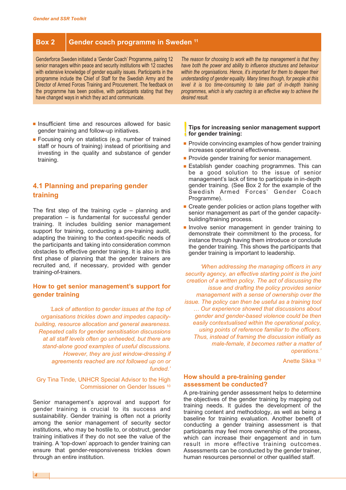#### **Box 2 Gender coach programme in Sweden <sup>11</sup>**

Genderforce Sweden initiated a 'Gender Coach' Programme, pairing 12 senior managers within peace and security institutions with 12 coaches with extensive knowledge of gender equality issues. Participants in the programme include the Chief of Staff for the Swedish Army and the Director of Armed Forces Training and Procurement. The feedback on the programme has been positive, with participants stating that they have changed ways in which they act and communicate.

*The reason for choosing to work with the top management is that they have both the power and ability to influence structures and behaviour within the organisations. Hence, it's important for them to deepen their understanding of gender equality. Many times though, for people at this level it is too time-consuming to take part of in-depth training programmes, which is why coaching is an effective way to achieve the desired result.*

- **■** Insufficient time and resources allowed for basic gender training and follow-up initiatives.
- Focusing only on statistics (e.g. number of trained staff or hours of training) instead of prioritising and investing in the quality and substance of gender training.

#### **4.1 Planning and preparing gender training**

The first step of the training cycle – planning and preparation – is fundamental for successful gender training. It includes building senior management support for training, conducting a pre-training audit, adapting the training to the context-specific needs of the participants and taking into consideration common obstacles to effective gender training. It is also in this first phase of planning that the gender trainers are recruited and, if necessary, provided with gender training-of-trainers.

#### **How to get senior management's support for gender training**

*'Lack of attention to gender issues at the top of organisations trickles down and impedes capacitybuilding, resource allocation and general awareness. Repeated calls for gender sensitisation discussions at all staff levels often go unheeded, but there are stand-alone good examples of useful discussions. However, they are just window-dressing if agreements reached are not followed up on or funded.'*

#### Gry Tina Tinde, UNHCR Special Advisor to the High Commissioner on Gender Issues <sup>10</sup>

Senior management's approval and support for gender training is crucial to its success and sustainability. Gender training is often not a priority among the senior management of security sector institutions, who may be hostile to, or obstruct, gender training initiatives if they do not see the value of the training. A 'top-down' approach to gender training can ensure that gender-responsiveness trickles down through an entire institution.

**!! Tips for increasing senior management support for gender training:**

- Provide convincing examples of how gender training increases operational effectiveness.
- **Provide gender training for senior management.**
- Establish gender coaching programmes. This can be a good solution to the issue of senior management's lack of time to participate in in-depth gender training. (See Box 2 for the example of the Swedish Armed Forces' Gender Coach Programme).
- Create gender policies or action plans together with senior management as part of the gender capacitybuilding/training process.
- **■** Involve senior management in gender training to demonstrate their commitment to the process, for instance through having them introduce or conclude the gender training. This shows the participants that gender training is important to leadership.

*'When addressing the managing officers in any security agency, an effective starting point is the joint creation of a written policy. The act of discussing the issue and drafting the policy provides senior management with a sense of ownership over the issue. The policy can then be useful as a training tool … Our experience showed that discussions about gender and gender-based violence could be then easily contextualised within the operational policy, using points of reference familiar to the officers. Thus, instead of framing the discussion initially as male-female, it becomes rather a matter of operations.'*

Anette Sikka <sup>12</sup>

#### **How should a pre-training gender assessment be conducted?**

A pre-training gender assessment helps to determine the objectives of the gender training by mapping out training needs. It guides the development of the training content and methodology, as well as being a baseline for training evaluation. Another benefit of conducting a gender training assessment is that participants may feel more ownership of the process, which can increase their engagement and in turn result in more effective training outcomes. Assessments can be conducted by the gender trainer, human resources personnel or other qualified staff.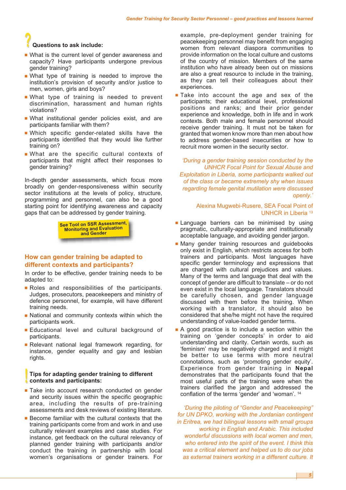### **?? Questions to ask include:**

- **■** What is the current level of gender awareness and capacity? Have participants undergone previous gender training?
- **■** What type of training is needed to improve the institution's provision of security and/or justice to men, women, girls and boys?
- **■** What type of training is needed to prevent discrimination, harassment and human rights violations?
- **■** What institutional gender policies exist, and are participants familiar with them?
- **■** Which specific gender-related skills have the participants identified that they would like further training on?
- **■** What are the specific cultural contexts of participants that might affect their responses to gender training?

In-depth gender assessments, which focus more broadly on gender-responsiveness within security sector institutions at the levels of policy, structure, programming and personnel, can also be a good starting point for identifying awareness and capacity gaps that can be addressed by gender training.

> **See Tool on SSR Assessment, Monitoring and Evaluation and Gender**

#### **How can gender training be adapted to different contexts and participants?**

In order to be effective, gender training needs to be adapted to:

- **■** Roles and responsibilities of the participants. Judges, prosecutors, peacekeepers and ministry of defence personnel, for example, will have different training needs.
- **■** National and community contexts within which the participants work.
- **■** Educational level and cultural background of participants.
- **■** Relevant national legal framework regarding, for instance, gender equality and gay and lesbian rights.

#### **!! Tips for adapting gender training to different contexts and participants:**

- Take into account research conducted on gender and security issues within the specific geographic area, including the results of pre-training assessments and desk reviews of existing literature.
- Become familiar with the cultural contexts that the training participants come from and work in and use culturally relevant examples and case studies. For instance, get feedback on the cultural relevancy of planned gender training with participants and/or conduct the training in partnership with local women's organisations or gender trainers. For

example, pre-deployment gender training for peacekeeping personnel may benefit from engaging women from relevant diaspora communities to provide information on the local culture and customs of the country of mission. Members of the same institution who have already been out on missions are also a great resource to include in the training, as they can tell their colleagues about their experiences.

■ Take into account the age and sex of the participants; their educational level, professional positions and ranks; and their prior gender experience and knowledge, both in life and in work contexts. Both male and female personnel should receive gender training. It must not be taken for granted that women know more than men about how to address gender-based insecurities or how to recruit more women in the security sector.

*'During a gender training session conducted by the UNHCR Focal Point for Sexual Abuse and Exploitation in Liberia, some participants walked out of the class or became extremely shy when issues regarding female genital mutilation were discussed openly.'*

#### Alexina Mugwebi-Rusere, SEA Focal Point of UNHCR in Liberia <sup>13</sup>

- **Example 2** Language barriers can be minimised by using pragmatic, culturally-appropriate and institutionally acceptable language, and avoiding gender jargon.
- Many gender training resources and guidebooks only exist in English, which restricts access for both trainers and participants. Most languages have specific gender terminology and expressions that are charged with cultural prejudices and values. Many of the terms and language that deal with the concept of gender are difficult to translate – or do not even exist in the local language. Translators should be carefully chosen, and gender language discussed with them before the training. When working with a translator, it should also be considered that she/he might not have the required understanding of value-loaded gender terms.
- A good practice is to include a section within the training on 'gender concepts' in order to aid understanding and clarity. Certain words, such as 'feminism' may be negatively charged and it might be better to use terms with more neutral connotations, such as 'promoting gender equity'. Experience from gender training in **Nepal** demonstrates that the participants found that the most useful parts of the training were when the trainers clarified the jargon and addressed the conflation of the terms 'gender' and 'woman'. <sup>14</sup>

*'During the piloting of "Gender and Peacekeeping" for UN DPKO, working with the Jordanian contingent in Eritrea, we had bilingual lessons with small groups working in English and Arabic. This included wonderful discussions with local women and men, who entered into the spirit of the event. I think this was a critical element and helped us to do our jobs as external trainers working in a different culture. It*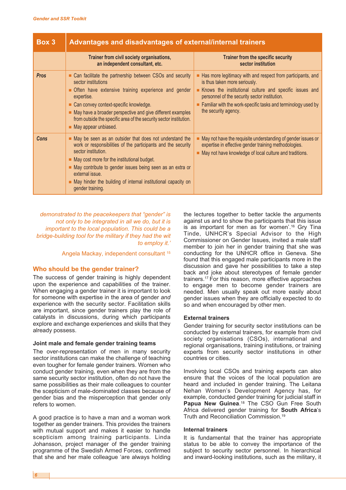| Box 3       | Advantages and disadvantages of external/internal trainers                                                                                                                                                                                                                                                                                                                         |                                                                                                                                                                                                                                                                                                                  |  |  |
|-------------|------------------------------------------------------------------------------------------------------------------------------------------------------------------------------------------------------------------------------------------------------------------------------------------------------------------------------------------------------------------------------------|------------------------------------------------------------------------------------------------------------------------------------------------------------------------------------------------------------------------------------------------------------------------------------------------------------------|--|--|
|             | Trainer from civil society organisations,<br>an independent consultant, etc.                                                                                                                                                                                                                                                                                                       | <b>Trainer from the specific security</b><br>sector institution                                                                                                                                                                                                                                                  |  |  |
| <b>Pros</b> | Can facilitate the partnership between CSOs and security<br>sector institutions<br>Often have extensive training experience and gender<br>expertise.<br>Can convey context-specific knowledge.<br>May have a broader perspective and give different examples<br>from outside the specific area of the security sector institution.<br>May appear unbiased.                         | Has more legitimacy with and respect from participants, and<br>is thus taken more seriously.<br>Knows the institutional culture and specific issues and<br>personnel of the security sector institution.<br>$\blacksquare$ Familiar with the work-specific tasks and terminology used by<br>the security agency. |  |  |
| Cons        | May be seen as an outsider that does not understand the<br>work or responsibilities of the participants and the security<br>sector institution.<br>$\blacksquare$ May cost more for the institutional budget.<br>May contribute to gender issues being seen as an extra or<br>external issue.<br>May hinder the building of internal institutional capacity on<br>gender training. | May not have the requisite understanding of gender issues or<br>expertise in effective gender training methodologies.<br>May not have knowledge of local culture and traditions.                                                                                                                                 |  |  |

*demonstrated to the peacekeepers that "gender" is not only to be integrated in all we do, but it is important to the local population. This could be a bridge-building tool for the military if they had the wit to employ it.'*

Angela Mackay, independent consultant <sup>15</sup>

#### **Who should be the gender trainer?**

The success of gender training is highly dependent upon the experience and capabilities of the trainer. When engaging a gender trainer it is important to look for someone with expertise in the area of gender *and* experience with the security sector. Facilitation skills are important, since gender trainers play the role of catalysts in discussions, during which participants explore and exchange experiences and skills that they already possess.

#### **Joint male and female gender training teams**

The over-representation of men in many security sector institutions can make the challenge of teaching even tougher for female gender trainers. Women who conduct gender training, even when they are from the same security sector institution, often do not have the same possibilities as their male colleagues to counter the scepticism of male-dominated classes because of gender bias and the misperception that gender only refers to women.

A good practice is to have a man and a woman work together as gender trainers. This provides the trainers with mutual support and makes it easier to handle scepticism among training participants. Linda Johansson, project manager of the gender training programme of the Swedish Armed Forces, confirmed that she and her male colleague 'are always holding the lectures together to better tackle the arguments against us and to show the participants that this issue is as important for men as for women'. <sup>16</sup> Gry Tina Tinde, UNHCR's Special Advisor to the High Commissioner on Gender Issues, invited a male staff member to join her in gender training that she was conducting for the UNHCR office in Geneva. She found that this engaged male participants more in the discussion and gave her possibilities to take a step back and joke about stereotypes of female gender trainers. <sup>17</sup> For this reason, more effective approaches to engage men to become gender trainers are needed. Men usually speak out more easily about gender issues when they are officially expected to do so and when encouraged by other men.

#### **External trainers**

Gender training for security sector institutions can be conducted by external trainers, for example from civil society organisations (CSOs), international and regional organisations, training institutions, or training experts from security sector institutions in other countries or cities.

Involving local CSOs and training experts can also ensure that the voices of the local population are heard and included in gender training. The Leitana Nehan Women's Development Agency has, for example, conducted gender training for judicial staff in **Papua New Guinea.<sup>18</sup> The CSO Gun Free South** Africa delivered gender training for **South Africa**'s Truth and Reconciliation Commission. 19

#### **Internal trainers**

It is fundamental that the trainer has appropriate status to be able to convey the importance of the subject to security sector personnel. In hierarchical and inward-looking institutions, such as the military, it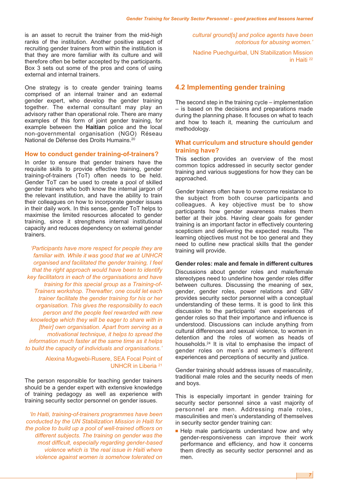is an asset to recruit the trainer from the mid-high ranks of the institution. Another positive aspect of recruiting gender trainers from within the institution is that they are more familiar with its culture and will therefore often be better accepted by the participants. Box 3 sets out some of the pros and cons of using external and internal trainers.

One strategy is to create gender training teams comprised of an internal trainer and an external gender expert, who develop the gender training together. The external consultant may play an advisory rather than operational role. There are many examples of this form of joint gender training, for example between the **Haitian** police and the local non-governmental organisation (NGO) Réseau National de Défense des Droits Humains. 20

#### **How to conduct gender training-of-trainers?**

In order to ensure that gender trainers have the requisite skills to provide effective training, gender training-of-trainers (ToT) often needs to be held. Gender ToT can be used to create a pool of skilled gender trainers who both know the internal jargon of the relevant institution, and have the ability to train their colleagues on how to incorporate gender issues in their daily work. In this sense, gender ToT helps to maximise the limited resources allocated to gender training, since it strengthens internal institutional capacity and reduces dependency on external gender trainers.

*'Participants have more respect for people they are familiar with. While it was good that we at UNHCR organised and facilitated the gender training, I feel that the right approach would have been to identify key facilitators in each of the organisations and have training for this special group as a Training-of-Trainers workshop. Thereafter, one could let each trainer facilitate the gender training for his or her organisation. This gives the responsibility to each person and the people feel rewarded with new knowledge which they will be eager to share with in [their] own organisation. Apart from serving as a motivational technique, it helps to spread the information much faster at the same time as it helps to build the capacity of individuals and organisations.'*

> Alexina Mugwebi-Rusere, SEA Focal Point of UNHCR in Liberia <sup>21</sup>

The person responsible for teaching gender trainers should be a gender expert with extensive knowledge of training pedagogy as well as experience with training security sector personnel on gender issues.

*'In Haiti, training-of-trainers programmes have been conducted by the UN Stabilization Mission in Haiti for the police to build up a pool of well-trained officers on different subjects. The training on gender was the most difficult, especially regarding gender-based violence which is 'the real issue in Haiti where violence against women is somehow tolerated on*

*cultural ground[s] and police agents have been notorious for abusing women.'*

Nadine Puechguirbal, UN Stabilization Mission in Haiti <sup>22</sup>

#### **4.2 Implementing gender training**

The second step in the training cycle – implementation – is based on the decisions and preparations made during the planning phase. It focuses on what to teach and how to teach it, meaning the curriculum and methodology.

#### **What curriculum and structure should gender training have?**

This section provides an overview of the most common topics addressed in security sector gender training and various suggestions for how they can be approached.

Gender trainers often have to overcome resistance to the subject from both course participants and colleagues. A key objective must be to show participants how gender awareness makes them better at their jobs. Having clear goals for gender training is an important factor in effectively countering scepticism and delivering the expected results. The learning objectives must not be too general and they need to outline new practical skills that the gender training will provide.

#### **Gender roles: male and female in different cultures**

Discussions about gender roles and male/female stereotypes need to underline how gender roles differ between cultures. Discussing the meaning of sex, gender, gender roles, power relations and GBV provides security sector personnel with a conceptual understanding of these terms. It is good to link this discussion to the participants' own experiences of gender roles so that their importance and influence is understood. Discussions can include anything from cultural differences and sexual violence, to women in detention and the roles of women as heads of households. <sup>24</sup> It is vital to emphasise the impact of gender roles on men's and women's different experiences and perceptions of security and justice.

Gender training should address issues of masculinity, traditional male roles and the security needs of men and boys.

This is especially important in gender training for security sector personnel since a vast majority of personnel are men. Addressing male roles, masculinities and men's understanding of themselves in security sector gender training can:

■ Help male participants understand how and why gender-responsiveness can improve their work performance and efficiency, and how it concerns them directly as security sector personnel and as men.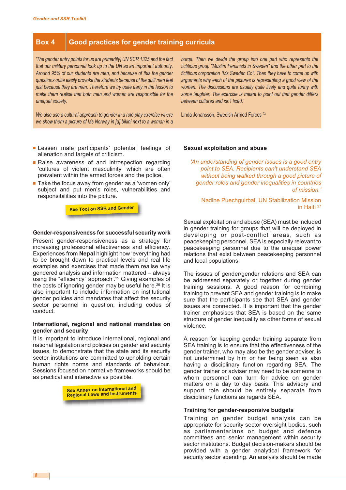#### **Box 4 Good practices for gender training curricula**

*'The gender entry points for us are primar[ily] UN SCR 1325 and the fact that our military personnel look up to the UN as an important authority. Around 95% of our students are men, and because of this the gender questions quite easily provoke the students because of the guilt men feel just because they are men. Therefore we try quite early in the lesson to make them realise that both men and women are responsible for the unequal society.*

*We also use a cultural approach to gender in a role play exercise where we show them a picture of Ms Norway in [a] bikini next to a woman in a*

- **■** Lessen male participants' potential feelings of alienation and targets of criticism.
- Raise awareness of and introspection regarding 'cultures of violent masculinity' which are often prevalent within the armed forces and the police.
- Take the focus away from gender as a 'women only' subject and put men's roles, vulnerabilities and responsibilities into the picture.

**See Tool on SSR and Gender**

#### **Gender-responsiveness for successful security work**

Present gender-responsiveness as a strategy for increasing professional effectiveness and efficiency. Experiences from **Nepal** highlight how 'everything had to be brought down to practical levels and real life examples and exercises that made them realise why gendered analysis and information mattered – always using the "efficiency" approach'. <sup>25</sup> Giving examples of the costs of ignoring gender may be useful here. <sup>26</sup> It is also important to include information on institutional gender policies and mandates that affect the security sector personnel in question, including codes of conduct.

#### **International, regional and national mandates on gender and security**

It is important to introduce international, regional and national legislation and policies on gender and security issues, to demonstrate that the state and its security sector institutions are committed to upholding certain human rights norms and standards of behaviour. Sessions focused on normative frameworks should be as practical and interactive as possible.



*burqa. Then we divide the group into one part who represents the fictitious group "Muslim Feminists in Sweden" and the other part to the fictitious corporation "Ms Sweden Co". Then they have to come up with arguments why each of the pictures is representing a good view of the women. The discussions are usually quite lively and quite funny with some laughter. The exercise is meant to point out that gender differs between cultures and isn't fixed.'*

Linda Johansson, Swedish Armed Forces <sup>23</sup>

#### **Sexual exploitation and abuse**

*'An understanding of gender issues is a good entry point to SEA. Recipients can't understand SEA without being walked through a good picture of gender roles and gender inequalities in countries of mission.'*

Nadine Puechguirbal, UN Stabilization Mission in Haiti <sup>27</sup>

Sexual exploitation and abuse (SEA) must be included in gender training for groups that will be deployed in developing or post-conflict areas, such as peacekeeping personnel. SEA is especially relevant to peacekeeping personnel due to the unequal power relations that exist between peacekeeping personnel and local populations.

The issues of gender/gender relations and SEA can be addressed separately or together during gender training sessions. A good reason for combining training to prevent SEA and gender training is to make sure that the participants see that SEA and gender issues are connected. It is important that the gender trainer emphasises that SEA is based on the same structure of gender inequality as other forms of sexual violence.

A reason for keeping gender training separate from SEA training is to ensure that the effectiveness of the gender trainer, who may also be the gender adviser, is not undermined by him or her being seen as also having a disciplinary function regarding SEA. The gender trainer or adviser may need to be someone to whom personnel can turn for advice on gender matters on a day to day basis. This advisory and support role should be entirely separate from disciplinary functions as regards SEA.

#### **Training for gender-responsive budgets**

Training on gender budget analysis can be appropriate for security sector oversight bodies, such as parliamentarians on budget and defence committees and senior management within security sector institutions. Budget decision-makers should be provided with a gender analytical framework for security sector spending. An analysis should be made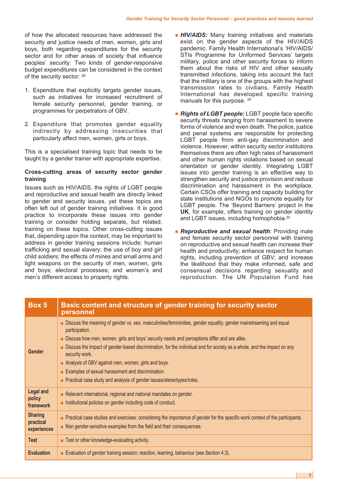of how the allocated resources have addressed the security and justice needs of men, women, girls and boys, both regarding expenditures for the security sector and for other areas of society that influence peoples' security. Two kinds of gender-responsive budget expenditures can be considered in the context of the security sector: <sup>28</sup>

- 1. Expenditure that explicitly targets gender issues, such as initiatives for increased recruitment of female security personnel, gender training, or programmes for perpetrators of GBV.
- 2. Expenditure that promotes gender equality indirectly by addressing insecurities that particularly affect men, women, girls or boys.

This is a specialised training topic that needs to be taught by a gender trainer with appropriate expertise.

#### **Cross-cutting areas of security sector gender training**

Issues such as HIV/AIDS, the rights of LGBT people and reproductive and sexual health are directly linked to gender and security issues, yet these topics are often left out of gender training initiatives. It is good practice to incorporate these issues into gender training or consider holding separate, but related, training on these topics. Other cross-cutting issues that, depending upon the context, may be important to address in gender training sessions include: human trafficking and sexual slavery; the use of boy and girl child soldiers; the effects of mines and small arms and light weapons on the security of men, women, girls and boys; electoral processes; and women's and men's different access to property rights.

- *HIV/AIDS:* Many training initiatives and materials exist on the gender aspects of the HIV/AIDS pandemic. Family Health International's 'HIV/AIDS/ STIs Programme for Uniformed Services' targets military, police and other security forces to inform them about the risks of HIV and other sexually transmitted infections, taking into account the fact that the military is one of the groups with the highest transmission rates to civilians. Family Health International has developed specific training manuals for this purpose. <sup>29</sup>
- *Rights of LGBT people:* LGBT people face specific security threats ranging from harassment to severe forms of violence and even death. The police, justice and penal systems are responsible for protecting LGBT people from anti-gay discrimination and violence. However, within security sector institutions themselves there are often high rates of harassment and other human rights violations based on sexual orientation or gender identity. Integrating LGBT issues into gender training is an effective way to strengthen security and justice provision and reduce discrimination and harassment in the workplace. Certain CSOs offer training and capacity building for state institutions and NGOs to promote equality for LGBT people. The 'Beyond Barriers' project in the **UK**, for example, offers training on gender identity and LGBT issues, including homophobia.<sup>30</sup>
- **■** *Reproductive and sexual health:* Providing male and female security sector personnel with training on reproductive and sexual health can increase their health and productivity; enhance respect for human rights, including prevention of GBV; and increase the likelihood that they make informed, safe and consensual decisions regarding sexuality and reproduction. The UN Population Fund has

| Box 5                                      | Basic content and structure of gender training for security sector<br>personnel                                                                                                                                                                                                                                                                                                                                                                                                                                                                                             |  |
|--------------------------------------------|-----------------------------------------------------------------------------------------------------------------------------------------------------------------------------------------------------------------------------------------------------------------------------------------------------------------------------------------------------------------------------------------------------------------------------------------------------------------------------------------------------------------------------------------------------------------------------|--|
| Gender                                     | Discuss the meaning of gender vs. sex, masculinities/femininities, gender equality, gender mainstreaming and equal<br>participation.<br>Discuss how men, women, girls and boys' security needs and perceptions differ and are alike.<br>Discuss the impact of gender-based discrimination, for the individual and for society as a whole, and the impact on any<br>security work.<br>Analysis of GBV against men, women, girls and boys.<br>Examples of sexual harassment and discrimination.<br>٠<br>Practical case study and analysis of gender issues/stereotypes/roles. |  |
| <b>Legal and</b><br>policy<br>framework    | Relevant international, regional and national mandates on gender.<br>Institutional policies on gender including code of conduct.                                                                                                                                                                                                                                                                                                                                                                                                                                            |  |
| <b>Sharing</b><br>practical<br>experiences | Practical case studies and exercises: considering the importance of gender for the specific work context of the participants.<br>٠<br>Non gender-sensitive examples from the field and their consequences.                                                                                                                                                                                                                                                                                                                                                                  |  |
| <b>Test</b>                                | Test or other knowledge-evaluating activity.                                                                                                                                                                                                                                                                                                                                                                                                                                                                                                                                |  |
| <b>Evaluation</b>                          | Evaluation of gender training session: reaction, learning, behaviour (see Section 4.3).                                                                                                                                                                                                                                                                                                                                                                                                                                                                                     |  |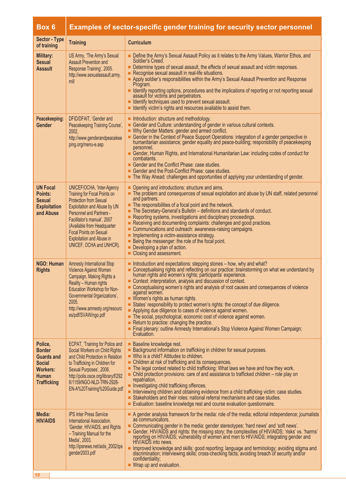## **Box 6 Examples of sector-specific gender training for security sector personnel**

| <b>Sector - Type</b><br>of training                                                                                     | <b>Training</b>                                                                                                                                                                                                                                                                                                        | <b>Curriculum</b>                                                                                                                                                                                                                                                                                                                                                                                                                                                                                                                                                                                                                                                                                                                                                                                                                                |
|-------------------------------------------------------------------------------------------------------------------------|------------------------------------------------------------------------------------------------------------------------------------------------------------------------------------------------------------------------------------------------------------------------------------------------------------------------|--------------------------------------------------------------------------------------------------------------------------------------------------------------------------------------------------------------------------------------------------------------------------------------------------------------------------------------------------------------------------------------------------------------------------------------------------------------------------------------------------------------------------------------------------------------------------------------------------------------------------------------------------------------------------------------------------------------------------------------------------------------------------------------------------------------------------------------------------|
| Military:<br><b>Sexual</b><br><b>Assault</b>                                                                            | US Army, 'The Army's Sexual<br><b>Assault Prevention and</b><br>Response Training', 2005.<br>http://www.sexualassault.army.<br>mil/                                                                                                                                                                                    | Define the Army's Sexual Assault Policy as it relates to the Army Values, Warrior Ethos, and<br>Soldier's Creed.<br>Determine types of sexual assault, the effects of sexual assault and victim responses.<br>Recognise sexual assault in real-life situations.<br>Apply soldier's responsibilities within the Army's Sexual Assault Prevention and Response<br>Program.<br>I Identify reporting options, procedures and the implications of reporting or not reporting sexual<br>assault for victims and perpetrators.<br>I Identify techniques used to prevent sexual assault.<br>I Identify victim's rights and resources available to assist them.                                                                                                                                                                                           |
| Peacekeeping:<br>Gender                                                                                                 | DFID/DFAIT, 'Gender and<br>Peacekeeping Training Course',<br>2002.<br>http://www.genderandpeacekee<br>ping.org/menu-e.asp                                                                                                                                                                                              | Introduction: structure and methodology.<br>Gender and Culture: understanding of gender in various cultural contexts.<br>■ Why Gender Matters: gender and armed conflict.<br>Gender in the Context of Peace Support Operations: integration of a gender perspective in<br>humanitarian assistance; gender equality and peace-building; responsibility of peacekeeping<br>personnel.<br>Gender, Human Rights, and International Humanitarian Law: including codes of conduct for<br>combatants.<br>Gender and the Conflict Phase: case studies.<br>Gender and the Post-Conflict Phase: case studies.<br>The Way Ahead: challenges and opportunities of applying your understanding of gender.                                                                                                                                                     |
| <b>UN Focal</b><br>Points:<br><b>Sexual</b><br><b>Exploitation</b><br>and Abuse                                         | UNICEF/OCHA, 'Inter-Agency<br>Training for Focal Points on<br><b>Protection from Sexual</b><br>Exploitation and Abuse by UN<br><b>Personnel and Partners -</b><br>Facilitator's manual', 2007<br>(Available from Headquarter<br><b>Focal Points on Sexual</b><br>Exploitation and Abuse in<br>UNICEF, OCHA and UNHCR). | • Opening and introductions: structure and aims.<br>The problem and consequences of sexual exploitation and abuse by UN staff, related personnel<br>and partners.<br>$\blacksquare$ The responsibilities of a focal point and the network.<br>The Secretary-General's Bulletin - definitions and standards of conduct.<br>Reporting systems, investigations and disciplinary proceedings.<br>Receiving and documenting complaints: challenges and good practices.<br>Communications and outreach: awareness-raising campaigns.<br>Implementing a victim-assistance strategy.<br>Being the messenger: the role of the focal point.<br>Developing a plan of action.<br>Closing and assessment.                                                                                                                                                     |
| <b>NGO: Human</b><br><b>Rights</b>                                                                                      | <b>Amnesty International Stop</b><br>Violence Against Women<br>Campaign, Making Rights a<br>Reality - Human rights<br>Education Workshop for Non-<br>Governmental Organizations',<br>2005.<br>http://www.amnesty.org/resourc<br>es/pdf/SVAW/ngo.pdf                                                                    | Introduction and expectations: stepping stones - how, why and what?<br>Conceptualising rights and reflecting on our practice: brainstorming on what we understand by<br>human rights and women's rights; participants' experience.<br>Context: interpretation, analysis and discussion of context.<br>Conceptualising women's rights and analysis of root causes and consequences of violence<br>against women.<br>■ Women's rights as human rights.<br>States' responsibility to protect women's rights: the concept of due diligence.<br>Applying due diligence to cases of violence against women.<br>The social, psychological, economic cost of violence against women.<br>$\blacksquare$ Return to practice: changing the practice.<br>Final plenary: outline Amnesty International's Stop Violence Against Women Campaign;<br>Evaluation. |
| Police,<br><b>Border</b><br><b>Guards and</b><br><b>Social</b><br><b>Workers:</b><br><b>Human</b><br><b>Trafficking</b> | <b>ECPAT, 'Training for Police and</b><br>Social Workers on Child Rights<br>and Child Protection in Relation<br>to Trafficking in Children for<br>Sexual Purposes', 2006.<br>http://polis.osce.org/library/f/292<br>6/1159/NGO-NLD-TRN-2926-<br>EN-A%20Training%20Guide.pdf                                            | <b>Baseline knowledge rest.</b><br>Background information on trafficking in children for sexual purposes.<br>$\blacksquare$ Who is a child? Attitudes to children.<br>• Children at risk of trafficking and its consequences.<br>The legal context related to child trafficking: What laws we have and how they work.<br>$\blacksquare$ Child protection provisions: care of and assistance to trafficked children – role play on<br>repatriation.<br>Investigating child trafficking offences.<br>Interviewing children and obtaining evidence from a child trafficking victim: case studies.<br>Stakeholders and their roles: national referral mechanisms and case studies.<br>Evaluation: baseline knowledge rest and course evaluation questionnaire.                                                                                       |
| Media:<br><b>HIV/AIDS</b>                                                                                               | <b>IPS Inter Press Service</b><br>International Association,<br>'Gender, HIV/AIDS, and Rights<br>- Training Manual for the<br>Media', 2003.<br>http://ipsnews.net/aids_2002/ips<br>gender2003.pdf                                                                                                                      | A gender analysis framework for the media: role of the media; editorial independence; journalists<br>as communicators.<br>■ Communicating gender in the media: gender stereotypes; 'hard news' and 'soft news'.<br>Gender, HIV/AIDS and rights: the missing story; the complexities of HIV/AIDS; 'risks' vs. 'harms'<br>reporting on HIV/AIDS; vulnerability of women and men to HIV/AIDS; integrating gender and<br>HIV/AIDS into news.<br>Improved knowledge and skills: good reporting; language and terminology; avoiding stigma and<br>discrimination; interviewing skills; cross-checking facts; avoiding breach of security and/or<br>confidentiality;<br>■ Wrap up and evaluation.                                                                                                                                                       |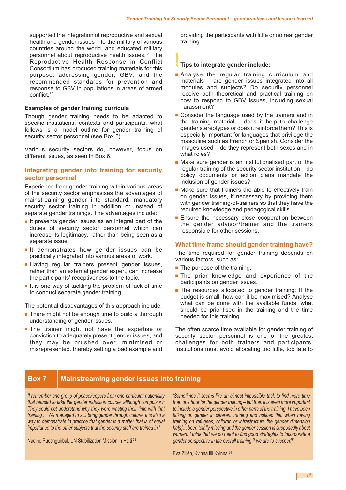supported the integration of reproductive and sexual health and gender issues into the military of various countries around the world, and educated military personnel about reproductive health issues. <sup>31</sup> The Reproductive Health Response in Conflict Consortium has produced training materials for this purpose, addressing gender, GBV, and the recommended standards for prevention and response to GBV in populations in areas of armed conflict. 32

#### **Examples of gender training curricula**

Though gender training needs to be adapted to specific institutions, contexts and participants, what follows is a model outline for gender training of security sector personnel (see Box 5).

Various security sectors do, however, focus on different issues, as seen in Box 6.

#### **Integrating gender into training for security sector personnel**

Experience from gender training within various areas of the security sector emphasises the advantages of mainstreaming gender into standard, mandatory security sector training in addition or instead of separate gender trainings. The advantages include:

- **■** It presents gender issues as an integral part of the duties of security sector personnel which can increase its legitimacy, rather than being seen as a separate issue.
- **■** It demonstrates how gender issues can be practically integrated into various areas of work.
- **■** Having regular trainers present gender issues, rather than an external gender expert, can increase the participants' receptiveness to the topic.
- It is one way of tackling the problem of lack of time to conduct separate gender training.

The potential disadvantages of this approach include:

- There might not be enough time to build a thorough understanding of gender issues.
- **■** The trainer might not have the expertise or conviction to adequately present gender issues, and they may be brushed over, minimised or misrepresented, thereby setting a bad example and

providing the participants with little or no real gender training.

#### **!! Tips to integrate gender include:**

- **■** Analyse the regular training curriculum and materials – are gender issues integrated into all modules and subjects? Do security personnel receive both theoretical and practical training on how to respond to GBV issues, including sexual harassment?
- Consider the language used by the trainers and in the training material – does it help to challenge gender stereotypes or does it reinforce them? This is especially important for languages that privilege the masculine such as French or Spanish. Consider the images used – do they represent both sexes and in what roles?
- Make sure gender is an institutionalised part of the regular training of the security sector institution – do policy documents or action plans mandate the inclusion of gender issues?
- Make sure that trainers are able to effectively train on gender issues, if necessary by providing them with gender training-of-trainers so that they have the required knowledge and pedagogical skills.
- Ensure the necessary close cooperation between the gender advisor/trainer and the trainers responsible for other sessions.

#### **What time frame should gender training have?**

The time required for gender training depends on various factors, such as:

- The purpose of the training.
- The prior knowledge and experience of the participants on gender issues.
- The resources allocated to gender training: If the budget is small, how can it be maximised? Analyse what can be done with the available funds, what should be prioritised in the training and the time needed for this training.

The often scarce time available for gender training of security sector personnel is one of the greatest challenges for both trainers and participants. Institutions must avoid allocating too little, too late to

#### **Box 7 Mainstreaming gender issues into training**

*'I remember one group of peacekeepers from one particular nationality that refused to take the gender induction course, although compulsory: They could not understand why they were wasting their time with that training ... We managed to still bring gender through culture. It is also a way to demonstrate in practice that gender is a matter that is of equal importance to the other subjects that the security staff are trained in.'*

Nadine Puechguirbal, UN Stabilization Mission in Haiti <sup>33</sup>

*'Sometimes it seems like an almost impossible task to find more time than one hour for the gender training – but then it is even more important to include a gender perspective in other parts of the training. I have been talking on gender in different training and noticed that when having training on refugees, children or infrastructure the gender dimension ha[s]… been totally missing and the gender session is supposedly about women. I think that we do need to find good strategies to incorporate a gender perspective in the overall training if we are to succeed!'*

Eva Zillén, Kvinna till Kvinna <sup>34</sup>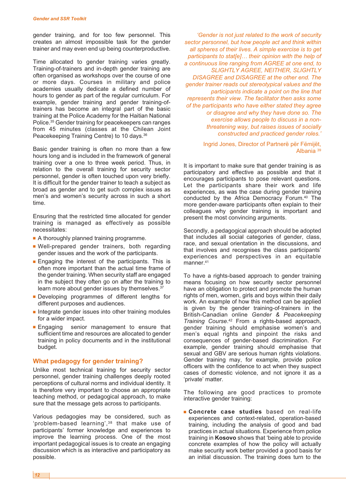gender training, and for too few personnel. This creates an almost impossible task for the gender trainer and may even end up being counterproductive.

Time allocated to gender training varies greatly. Training-of-trainers and in-depth gender training are often organised as workshops over the course of one or more days. Courses in military and police academies usually dedicate a defined number of hours to gender as part of the regular curriculum. For example, gender training and gender training-oftrainers has become an integral part of the basic training at the Police Academy for the Haitian National Police. <sup>35</sup> Gender training for peacekeepers can ranges from 45 minutes (classes at the Chilean Joint Peacekeeping Training Centre) to 10 days.<sup>36</sup>

Basic gender training is often no more than a few hours long and is included in the framework of general training over a one to three week period. Thus, in relation to the overall training for security sector personnel, gender is often touched upon very briefly. It is difficult for the gender trainer to teach a subject as broad as gender and to get such complex issues as men's and women's security across in such a short time.

Ensuring that the restricted time allocated for gender training is managed as effectively as possible necessitates:

- A thoroughly planned training programme.
- **■** Well-prepared gender trainers, both regarding gender issues and the work of the participants.
- **■** Engaging the interest of the participants. This is often more important than the actual time frame of the gender training. When security staff are engaged in the subject they often go on after the training to learn more about gender issues by themselves.<sup>37</sup>
- **■** Developing programmes of different lengths for different purposes and audiences.
- Integrate gender issues into other training modules for a wider impact.
- **■** Engaging senior management to ensure that sufficient time and resources are allocated to gender training in policy documents and in the institutional budget.

#### **What pedagogy for gender training?**

Unlike most technical training for security sector personnel, gender training challenges deeply rooted perceptions of cultural norms and individual identity. It is therefore very important to choose an appropriate teaching method, or pedagogical approach, to make sure that the message gets across to participants.

Various pedagogies may be considered, such as 'problem-based learning',38 that make use of participants' former knowledge and experiences to improve the learning process. One of the most important pedagogical issues is to create an engaging discussion which is as interactive and participatory as possible.

*'Gender is not just related to the work of security sector personnel, but how people act and think within all spheres of their lives. A simple exercise is to get participants to stat[e]… their opinion with the help of a continuous line ranging from AGREE at one end, to SLIGHTLY AGREE, NEITHER, SLIGHTLY DISAGREE and DISAGREE at the other end. The gender trainer reads out stereotypical values and the participants indicate a point on the line that represents their view. The facilitator then asks some of the participants who have either stated they agree or disagree and why they have done so. The exercise allows people to discuss in a nonthreatening way, but raises issues of socially constructed and practiced gender roles.'*

> Ingrid Jones, Director of Partnerë për Fëmijët, Albania <sup>39</sup>

It is important to make sure that gender training is as participatory and effective as possible and that it encourages participants to pose relevant questions. Let the participants share their work and life experiences, as was the case during gender training conducted by the Africa Democracy Forum. <sup>40</sup> The more gender-aware participants often explain to their colleagues why gender training is important and present the most convincing arguments.

Secondly, a pedagogical approach should be adopted that includes all social categories of gender, class, race, and sexual orientation in the discussions, and that involves and recognises the class participants' experiences and perspectives in an equitable manner. 41

To have a rights-based approach to gender training means focusing on how security sector personnel have an obligation to protect and promote the human rights of men, women, girls and boys within their daily work. An example of how this method can be applied is given by the gender training-of-trainers in the British-Canadian online *Gender & Peacekeeping Training Course*. <sup>42</sup> From a rights-based approach, gender training should emphasise women's and men's equal rights and pinpoint the risks and consequences of gender-based discrimination. For example, gender training should emphasise that sexual and GBV are serious human rights violations. Gender training may, for example, provide police officers with the confidence to act when they suspect cases of domestic violence, and not ignore it as a 'private' matter.

The following are good practices to promote interactive gender training:

**■ Concrete case studies** based on real-life experiences and context-related, operation-based training, including the analysis of good and bad practices in actual situations. Experience from police training in **Kosovo** shows that 'being able to provide concrete examples of how the policy will actually make security work better provided a good basis for an initial discussion. The training does turn to the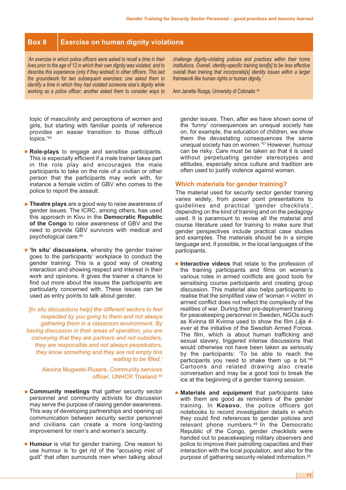#### **Box 8 Exercise on human dignity violations**

*'An exercise in which police officers were asked to recall a time in their lives prior to the age of 12 in which their own dignity was violated, and to describe this experience (only if they wished) to other officers. This laid the groundwork for two subsequent exercises: one asked them to identify a time in which they had violated someone else's dignity while working as a police officer; another asked them to consider ways to*

*challenge dignity-violating policies and practices within their home institutions. Overall, identity-specific training tend[s] to be less effective overall than training that incorporate[s] identity issues within a larger framework like human rights or human dignity.'*

Ann Janette Rosga, University of Colorado <sup>44</sup>

topic of masculinity and perceptions of women and girls, but starting with familiar points of reference provides an easier transition to those difficult topics.' 43

- **■ Role-plays** to engage and sensitise participants. This is especially efficient if a male trainer takes part in the role play and encourages the male participants to take on the role of a civilian or other person that the participants may work with, for instance a female victim of GBV who comes to the police to report the assault.
- **Theatre plays** are a good way to raise awareness of gender issues. The ICRC, among others, has used this approach in Kivu in the **Democratic Republic of the Congo** to raise awareness of GBV and the need to provide GBV survivors with medical and psychological care. 45
- **■ 'In situ' discussions**, whereby the gender trainer goes to the participants' workplace to conduct the gender training. This is a good way of creating interaction and showing respect and interest in their work and opinions. It gives the trainer a chance to find out more about the issues the participants are particularly concerned with. These issues can be used as entry points to talk about gender.

*'[In situ discussions help] the different sectors to feel respected by you going to them and not always gathering them in a classroom environment. By having discussion in their areas of operation, you are conveying that they are partners and not outsiders, they are responsible and not always perpetrators, they know something and they are not empty tins waiting to be filled.'*

> Alexina Mugwebi-Rusere, Community services officer, UNHCR Thailand <sup>46</sup>

- **■ Community meetings** that gather security sector personnel and community activists for discussion may serve the purpose of raising gender awareness. This way of developing partnerships and opening up communication between security sector personnel and civilians can create a more long-lasting improvement for men's and women's security.
- **Humour** is vital for gender training. One reason to use humour is 'to get rid of the "accusing mist of guilt" that often surrounds men when talking about

gender issues. Then, after we have shown some of the 'funny' consequences an unequal society has on, for example, the education of children, we show them the devastating consequences the same unequal society has on women.' <sup>47</sup> However, humour can be risky. Care must be taken so that it is used without perpetuating gender stereotypes and attitudes, especially since culture and tradition are often used to justify violence against women.

#### **Which materials for gender training?**

The material used for security sector gender training varies widely, from power point presentations to guidelines and practical 'gender checklists', depending on the kind of training and on the pedagogy used. It is paramount to revise all the material and course literature used for training to make sure that gender perspectives include practical case studies and examples. The materials should be in a simple language and, if possible, in the local languages of the participants.

- **■ Interactive videos** that relate to the profession of the training participants and films on women's various roles in armed conflicts are good tools for sensitising course participants and creating group discussion. This material also helps participants to realise that the simplified view of 'woman = victim' in armed conflict does not reflect the complexity of the realities of war. During their pre-deployment training for peacekeeping personnel in Sweden, NGOs such as Kvinna till Kvinna used to show the film *Lilja 4 ever* at the initiative of the Swedish Armed Forces. The film, which is about human trafficking and sexual slavery, triggered intense discussions that would otherwise not have been taken as seriously by the participants: 'To be able to reach the participants you need to shake them up a bit.<sup>'48</sup> Cartoons and related drawing also create conversation and may be a good tool to break the ice at the beginning of a gender training session.
- **■ Materials and equipment** that participants take with them are good as reminders of the gender training. In **Kosovo**, the police officers got notebooks to record investigation details in which they could find references to gender policies and relevant phone numbers.49 In the Democratic Republic of the Congo, gender checklists were handed out to peacekeeping military observers and police to improve their patrolling capacities and their interaction with the local population, and also for the purpose of gathering security-related information.<sup>50</sup>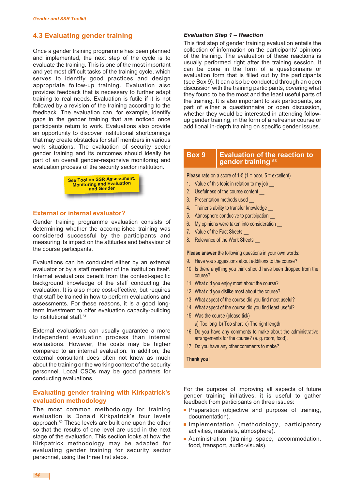#### **4.3 Evaluating gender training**

Once a gender training programme has been planned and implemented, the next step of the cycle is to evaluate the training. This is one of the most important and yet most difficult tasks of the training cycle, which serves to identify good practices and design appropriate follow-up training. Evaluation also provides feedback that is necessary to further adapt training to real needs. Evaluation is futile if it is not followed by a revision of the training according to the feedback. The evaluation can, for example, identify gaps in the gender training that are noticed once participants return to work. Evaluations also provide an opportunity to discover institutional shortcomings that may create obstacles for staff members in various work situations. The evaluation of security sector gender training and its outcomes should ideally be part of an overall gender-responsive monitoring and evaluation process of the security sector institution.



#### **External or internal evaluator?**

Gender training programme evaluation consists of determining whether the accomplished training was considered successful by the participants and measuring its impact on the attitudes and behaviour of the course participants.

Evaluations can be conducted either by an external evaluator or by a staff member of the institution itself. Internal evaluations benefit from the context-specific background knowledge of the staff conducting the evaluation. It is also more cost-effective, but requires that staff be trained in how to perform evaluations and assessments. For these reasons, it is a good longterm investment to offer evaluation capacity-building to institutional staff. 51

External evaluations can usually guarantee a more independent evaluation process than internal evaluations. However, the costs may be higher compared to an internal evaluation. In addition, the external consultant does often not know as much about the training or the working context of the security personnel. Local CSOs may be good partners for conducting evaluations.

#### **Evaluating gender training with Kirkpatrick's evaluation methodology**

The most common methodology for training evaluation is Donald Kirkpatrick's four levels approach. <sup>52</sup> These levels are built one upon the other so that the results of one level are used in the next stage of the evaluation. This section looks at how the Kirkpatrick methodology may be adapted for evaluating gender training for security sector personnel, using the three first steps.

#### *Evaluation Step 1 – Reaction*

This first step of gender training evaluation entails the collection of information on the participants' opinions of the training. The evaluation of these reactions is usually performed right after the training session. It can be done in the form of a questionnaire or evaluation form that is filled out by the participants (see Box 9). It can also be conducted through an open discussion with the training participants, covering what they found to be the most and the least useful parts of the training. It is also important to ask participants, as part of either a questionnaire or open discussion, whether they would be interested in attending followup gender training, in the form of a refresher course or additional in-depth training on specific gender issues.

#### **Box 9 Evaluation of the reaction to gender training <sup>53</sup>**

**Please rate** on a score of 1-5 (1 = poor, 5 = excellent)

- 1. Value of this topic in relation to my job
- 2. Usefulness of the course content
- 3. Presentation methods used
- 4. Trainer's ability to transfer knowledge
- 5. Atmosphere conducive to participation
- 6. My opinions were taken into consideration \_\_
- 7. Value of the Fact Sheets
- 8. Relevance of the Work Sheets

**Please answer** the following questions in your own words:

- 9. Have you suggestions about additions to the course?
- 10. Is there anything you think should have been dropped from the course?
- 11. What did you enjoy most about the course?
- 12. What did you dislike most about the course?
- 13. What aspect of the course did you find most useful?
- 14. What aspect of the course did you find least useful?
- 15. Was the course (please tick) a) Too long b) Too short c) The right length
- 16. Do you have any comments to make about the administrative arrangements for the course? (e. g. room, food).
- 17. Do you have any other comments to make?

#### **Thank you!**

For the purpose of improving all aspects of future gender training initiatives, it is useful to gather feedback from participants on three issues:

- **■** Preparation (objective and purpose of training, documentation).
- **■** Implementation (methodology, participatory activities, materials, atmosphere).
- **■** Administration (training space, accommodation, food, transport, audio-visuals).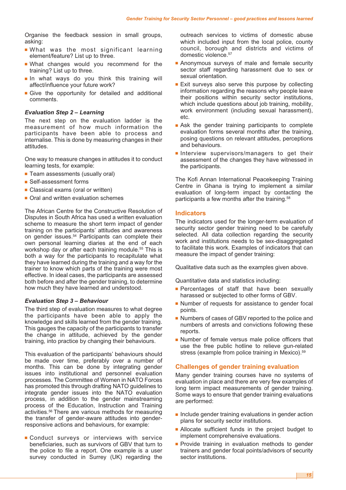Organise the feedback session in small groups, asking:

- **■** What was the most significant learning element/feature? List up to three.
- **■** What changes would you recommend for the training? List up to three.
- **■** In what ways do you think this training will affect/influence your future work?
- **■** Give the opportunity for detailed and additional comments.

#### *Evaluation Step 2 – Learning*

The next step on the evaluation ladder is the measurement of how much information the participants have been able to process and internalise. This is done by measuring changes in their attitudes.

One way to measure changes in attitudes it to conduct learning tests, for example:

- Team assessments (usually oral)
- Self-assessment forms
- **■** Classical exams (oral or written)
- Oral and written evaluation schemes

The African Centre for the Constructive Resolution of Disputes in South Africa has used a written evaluation scheme to measure the short term impact of gender training on the participants' attitudes and awareness on gender issues. <sup>54</sup> Participants can complete their own personal learning diaries at the end of each workshop day or after each training module. <sup>55</sup> This is both a way for the participants to recapitulate what they have learned during the training and a way for the trainer to know which parts of the training were most effective. In ideal cases, the participants are assessed both before and after the gender training, to determine how much they have learned and understood.

#### *Evaluation Step 3 – Behaviour*

The third step of evaluation measures to what degree the participants have been able to apply the knowledge and skills learned from the gender training. This gauges the capacity of the participants to transfer the change in attitude, achieved by the gender training, into practice by changing their behaviours.

This evaluation of the participants' behaviours should be made over time, preferably over a number of months. This can be done by integrating gender issues into institutional and personnel evaluation processes. The Committee of Women in NATO Forces has promoted this through drafting NATO guidelines to integrate gender issues into the NATO evaluation process, in addition to the gender mainstreaming process of the Education, Instruction and Training activities. <sup>56</sup> There are various methods for measuring the transfer of gender-aware attitudes into genderresponsive actions and behaviours, for example:

**■** Conduct surveys or interviews with service beneficiaries, such as survivors of GBV that turn to the police to file a report. One example is a user survey conducted in Surrey (UK) regarding the

outreach services to victims of domestic abuse which included input from the local police, county council, borough and districts and victims of domestic violence. 57

- Anonymous surveys of male and female security sector staff regarding harassment due to sex or sexual orientation.
- Exit surveys also serve this purpose by collecting information regarding the reasons why people leave their positions within security sector institutions, which include questions about job training, mobility, work environment (including sexual harassment), etc.
- Ask the gender training participants to complete evaluation forms several months after the training, posing questions on relevant attitudes, perceptions and behaviours.
- **■** Interview supervisors/managers to get their assessment of the changes they have witnessed in the participants.

The Kofi Annan International Peacekeeping Training Centre in Ghana is trying to implement a similar evaluation of long-term impact by contacting the participants a few months after the training. 58

#### **Indicators**

The indicators used for the longer-term evaluation of security sector gender training need to be carefully selected. All data collection regarding the security work and institutions needs to be sex-disaggregated to facilitate this work. Examples of indicators that can measure the impact of gender training:

Qualitative data such as the examples given above.

Quantitative data and statistics including:

- **Percentages of staff that have been sexually** harassed or subjected to other forms of GBV.
- Number of requests for assistance to gender focal points.
- Numbers of cases of GBV reported to the police and numbers of arrests and convictions following these reports.
- Number of female versus male police officers that use the free public hotline to relieve gun-related stress (example from police training in Mexico).<sup>59</sup>

#### **Challenges of gender training evaluation**

Many gender training courses have no systems of evaluation in place and there are very few examples of long term impact measurements of gender training. Some ways to ensure that gender training evaluations are performed:

- Include gender training evaluations in gender action plans for security sector institutions.
- Allocate sufficient funds in the project budget to implement comprehensive evaluations.
- **■** Provide training in evaluation methods to gender trainers and gender focal points/advisors of security sector institutions.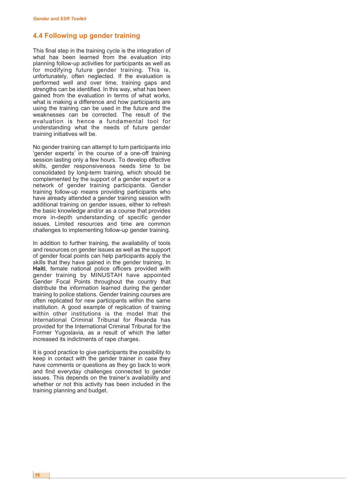#### **4.4 Following up gender training**

This final step in the training cycle is the integration of what has been learned from the evaluation into planning follow-up activities for participants as well as for modifying future gender training. This is, unfortunately, often neglected. If the evaluation is performed well and over time, training gaps and strengths can be identified. In this way, what has been gained from the evaluation in terms of what works, what is making a difference and how participants are using the training can be used in the future and the weaknesses can be corrected. The result of the evaluation is hence a fundamental tool for understanding what the needs of future gender training initiatives will be.

No gender training can attempt to turn participants into 'gender experts' in the course of a one-off training session lasting only a few hours. To develop effective skills, gender responsiveness needs time to be consolidated by long-term training, which should be complemented by the support of a gender expert or a network of gender training participants. Gender training follow-up means providing participants who have already attended a gender training session with additional training on gender issues, either to refresh the basic knowledge and/or as a course that provides more in-depth understanding of specific gender issues. Limited resources and time are common challenges to implementing follow-up gender training.

In addition to further training, the availability of tools and resources on gender issues as well as the support of gender focal points can help participants apply the skills that they have gained in the gender training. In **Haiti**, female national police officers provided with gender training by MINUSTAH have appointed Gender Focal Points throughout the country that distribute the information learned during the gender training to police stations. Gender training courses are often replicated for new participants within the same institution. A good example of replication of training within other institutions is the model that the International Criminal Tribunal for Rwanda has provided for the International Criminal Tribunal for the Former Yugoslavia, as a result of which the latter increased its indictments of rape charges.

It is good practice to give participants the possibility to keep in contact with the gender trainer in case they have comments or questions as they go back to work and find everyday challenges connected to gender issues. This depends on the trainer's availability and whether or not this activity has been included in the training planning and budget.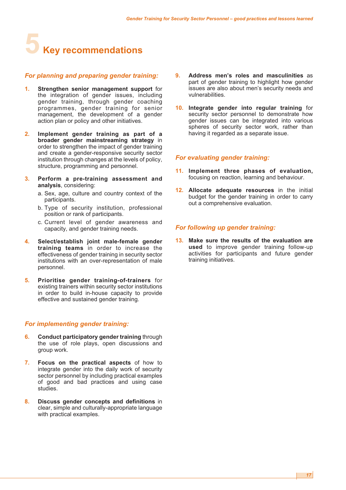# **5 Key recommendations**

#### *For planning and preparing gender training:*

- **1. Strengthen senior management support** for the integration of gender issues, including gender training, through gender coaching programmes, gender training for senior management, the development of a gender action plan or policy and other initiatives.
- **2. Implement gender training as part of a broader gender mainstreaming strategy** in order to strengthen the impact of gender training and create a gender-responsive security sector institution through changes at the levels of policy, structure, programming and personnel.
- **3. Perform a pre-training assessment and analysis**, considering:
	- a. Sex, age, culture and country context of the participants.
	- b. Type of security institution, professional position or rank of participants.
	- c. Current level of gender awareness and capacity, and gender training needs.
- **4. Select/establish joint male-female gender training teams** in order to increase the effectiveness of gender training in security sector institutions with an over-representation of male personnel.
- **5. Prioritise gender training-of-trainers** for existing trainers within security sector institutions in order to build in-house capacity to provide effective and sustained gender training.

#### *For implementing gender training:*

- **6. Conduct participatory gender training** through the use of role plays, open discussions and group work.
- **7. Focus on the practical aspects** of how to integrate gender into the daily work of security sector personnel by including practical examples of good and bad practices and using case studies.
- **8. Discuss gender concepts and definitions** in clear, simple and culturally-appropriate language with practical examples.
- **9. Address men's roles and masculinities** as part of gender training to highlight how gender issues are also about men's security needs and vulnerabilities.
- **10. Integrate gender into regular training** for security sector personnel to demonstrate how gender issues can be integrated into various spheres of security sector work, rather than having it regarded as a separate issue.

#### *For evaluating gender training:*

- **11. Implement three phases of evaluation,** focusing on reaction, learning and behaviour.
- **12. Allocate adequate resources** in the initial budget for the gender training in order to carry out a comprehensive evaluation.

#### *For following up gender training:*

**13. Make sure the results of the evaluation are used** to improve gender training follow-up activities for participants and future gender training initiatives.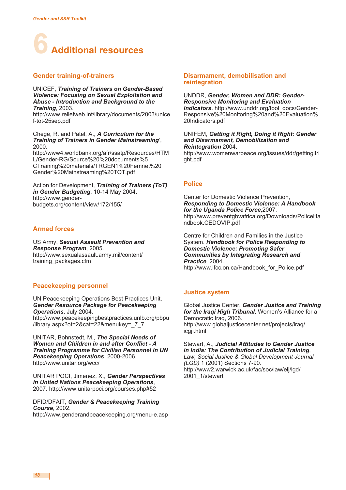

#### **Gender training-of-trainers**

UNICEF, *Training of Trainers on Gender-Based Violence: Focusing on Sexual Exploitation and Abuse - Introduction and Background to the Training*, 2003.

http://www.reliefweb.int/library/documents/2003/unice f-tot-25sep.pdf

Chege, R. and Patel, A., *A Curriculum for the Training of Trainers in Gender Mainstreaming*', 2000.

http://www4.worldbank.org/afr/ssatp/Resources/HTM L/Gender-RG/Source%20%20documents%5 CTraining%20materials/TRGEN1%20Femnet%20 Gender%20Mainstreaming%20TOT.pdf

Action for Development, *Training of Trainers (ToT) in Gender Budgeting*, 10-14 May 2004. http://www.genderbudgets.org/content/view/172/155/

#### **Armed forces**

US Army, *Sexual Assault Prevention and Response Program*, 2005. http://www.sexualassault.army.mil/content/ training\_packages.cfm

#### **Peacekeeping personnel**

UN Peacekeeping Operations Best Practices Unit, *Gender Resource Package for Peacekeeping Operations*, July 2004. http://www.peacekeepingbestpractices.unlb.org/pbpu /library.aspx?ot=2&cat=22&menukey=\_7\_7

UNITAR, Bohnstedt, M., *The Special Needs of Women and Children in and after Conflict - A Training Programme for Civilian Personnel in UN Peacekeeping Operations*, 2000-2006. http://www.unitar.org/wcc/

UNITAR POCI, Jimenez, X., *Gender Perspectives in United Nations Peacekeeping Operations*, 2007. http://www.unitarpoci.org/courses.php#52

DFID/DFAIT, *Gender & Peacekeeping Training Course*, 2002.

http://www.genderandpeacekeeping.org/menu-e.asp

#### **Disarmament, demobilisation and reintegration**

#### UNDDR, *Gender, Women and DDR: Gender-Responsive Monitoring and Evaluation Indicators*. http://www.unddr.org/tool\_docs/Gender-

Responsive%20Monitoring%20and%20Evaluation% 20Indicators.pdf

#### UNIFEM, *Getting it Right, Doing it Right: Gender and Disarmament, Demobilization and Reintegration* 2004.

http://www.womenwarpeace.org/issues/ddr/gettingitri ght.pdf

#### **Police**

Center for Domestic Violence Prevention, *Responding to Domestic Violence: A Handbook for the Uganda Police Force*,2007. http://www.preventgbvafrica.org/Downloads/PoliceHa ndbook.CEDOVIP.pdf

Centre for Children and Families in the Justice System. *Handbook for Police Responding to Domestic Violence: Promoting Safer Communities by Integrating Research and Practice,* 2004. http://www.lfcc.on.ca/Handbook\_for\_Police.pdf

#### **Justice system**

Global Justice Center, *Gender Justice and Training for the Iraqi High Tribunal*, Women's Alliance for a Democratic Iraq, 2006. http://www.globaljusticecenter.net/projects/iraq/ icgji.html

Stewart, A., *Judicial Attitudes to Gender Justice in India: The Contribution of Judicial Training*, *Law, Social Justice & Global Development Journal (LGD)* 1 (2001) Sections 7-90. http://www2.warwick.ac.uk/fac/soc/law/elj/lgd/ 2001 1/stewart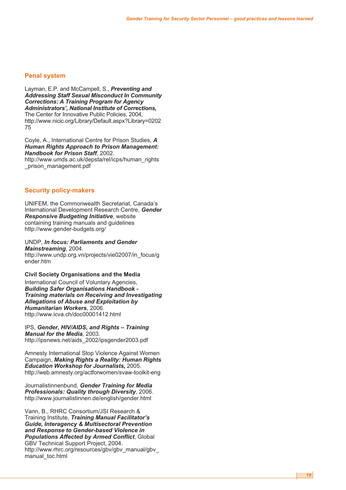#### **Penal system**

Layman, E.P. and McCampell, S., *Preventing and Addressing Staff Sexual Misconduct In Community Corrections: A Training Program for Agency Administrators', National Institute of Corrections,* The Center for Innovative Public Policies, 2004, http://www.nicic.org/Library/Default.aspx?Library=0202 75

Coyle, A., International Centre for Prison Studies, *A Human Rights Approach to Prison Management: Handbook for Prison Staff*, 2002. http://www.umds.ac.uk/depsta/rel/icps/human\_rights prison management.pdf

#### **Security policy-makers**

UNIFEM, the Commonwealth Secretariat, Canada's International Development Research Centre, *Gender Responsive Budgeting Initiative*, website containing training manuals and guidelines http://www.gender-budgets.org/

UNDP, *In focus: Parliaments and Gender Mainstreaming*, 2004. http://www.undp.org.vn/projects/vie02007/in\_focus/g ender.htm

#### **Civil Society Organisations and the Media**

International Council of Voluntary Agencies, *Building Safer Organisations Handbook - Training materials on Receiving and Investigating Allegations of Abuse and Exploitation by Humanitarian Workers*, 2006. http://www.icva.ch/doc00001412.html

IPS, *Gender, HIV/AIDS, and Rights – Training Manual for the Media*, 2003. http://ipsnews.net/aids\_2002/ipsgender2003.pdf

Amnesty International Stop Violence Against Women Campaign, *Making Rights a Reality: Human Rights Education Workshop for Journalists,* 2005. http://web.amnesty.org/actforwomen/svaw-toolkit-eng

Journalistinnenbund, *Gender Training for Media Professionals: Quality through Diversity*, 2006. http://www.journalistinnen.de/english/gender.html

Vann, B., RHRC Consortium/JSI Research & Training Institute, *Training Manual Facilitator's Guide, Interagency & Multisectoral Prevention and Response to Gender-based Violence in Populations Affected by Armed Conflict*, Global GBV Technical Support Project, 2004. http://www.rhrc.org/resources/gbv/gbv\_manual/gbv\_ manual\_toc.html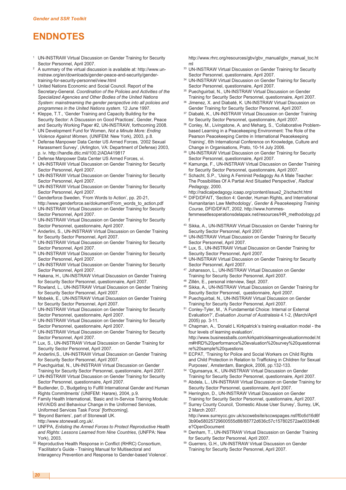### **ENDNOTES**

- <sup>1</sup> UN-INSTRAW Virtual Discussion on Gender Training for Security Sector Personnel, April 2007.
- <sup>2</sup> A summary of the virtual discussion is available at: http://www.uninstraw.org/en/downloads/gender-peace-and-security/gendertraining-for-security-personnel/view.html
- United Nations Economic and Social Council. Report of the Secretary-General. *Coordination of the Policies and Activities of the Specialized Agencies and Other Bodies of the United Nations System: mainstreaming the gender perspective into all policies and programmes in the United Nations system*. 12 June 1997.
- Kleppe, T.T., 'Gender Training and Capacity Building for the Security Sector: A Discussion on Good Practices', Gender, Peace and Security Working Paper #2, UN-INSTRAW, forthcoming 2008.
- <sup>5</sup> UN Development Fund for Women, *Not a Minute More: Ending Violence Against Women,* (UNIFEM: New York), 2003, p.8.
- <sup>6</sup> Defense Manpower Data Center US Armed Forces, '2002 Sexual Harassment Survey', (Arlington, VA: Department of Defense) 2003, p. iv. http://handle.dtic.mil/100.2/ADA419817
- <sup>7</sup> Defense Manpower Data Center US Armed Forces, vi.
- <sup>8</sup> UN-INSTRAW Virtual Discussion on Gender Training for Security Sector Personnel, April 2007.
- UN-INSTRAW Virtual Discussion on Gender Training for Security Sector Personnel, April 2007.
- <sup>10</sup> UN-INSTRAW Virtual Discussion on Gender Training for Security Sector Personnel, April 2007.
- <sup>11</sup> Genderforce Sweden, 'From Words to Action', pp. 20-21,
- http://www.genderforce.se/dokument/From\_words\_to\_action.pdf <sup>12</sup> UN-INSTRAW Virtual Discussion on Gender Training for Security
- Sector Personnel, April 2007. <sup>13</sup> UN-INSTRAW Virtual Discussion on Gender Training for Security Sector Personnel, questionnaire, April 2007.
- <sup>14</sup> Anderlini, S., UN-INSTRAW Virtual Discussion on Gender Training for Security Sector Personnel, April 2007.
- <sup>15</sup> UN-INSTRAW Virtual Discussion on Gender Training for Security Sector Personnel, April 2007.
- <sup>16</sup> UN-INSTRAW Virtual Discussion on Gender Training for Security Sector Personnel, April 2007.
- <sup>17</sup> UN-INSTRAW Virtual Discussion on Gender Training for Security Sector Personnel, April 2007.
- <sup>18</sup> Hakena, H., UN-INSTRAW Virtual Discussion on Gender Training for Security Sector Personnel, questionnaire, April 2007.
- <sup>19</sup> Rowland, L., UN-INSTRAW Virtual Discussion on Gender Training for Security Sector Personnel, April 2007.
- <sup>20</sup> Mobekk, E., UN-INSTRAW Virtual Discussion on Gender Training for Security Sector Personnel, April 2007.
- <sup>21</sup> UN-INSTRAW Virtual Discussion on Gender Training for Security Sector Personnel, questionnaire, April 2007.
- <sup>22</sup> UN-INSTRAW Virtual Discussion on Gender Training for Security Sector Personnel, questionnaire, April 2007.
- <sup>23</sup> UN-INSTRAW Virtual Discussion on Gender Training for Security Sector Personnel, April 2007.
- <sup>24</sup> Lux, S., UN-INSTRAW Virtual Discussion on Gender Training for Security Sector Personnel, April 2007.
- <sup>25</sup> Anderlini,S., UN-INSTRAW Virtual Discussion on Gender Training for Security Sector Personnel, April 2007.
- <sup>26</sup> Puechguirbal, N., UN-INSTRAW Virtual Discussion on Gender
- Training for Security Sector Personnel, questionnaire, April 2007. <sup>27</sup> UN-INSTRAW Virtual Discussion on Gender Training for Security
- Sector Personnel, questionnaire, April 2007. <sup>28</sup> Budlender, D.,'Budgeting to Fulfill International Gender and Human Rights Commitments' (UNIFEM: Harare), 2004, p.9.
- <sup>29</sup> Family Health International, 'Basic and In-Service Training Module: HIV/AIDS and Behaviour Change in the Uniformed Services, Uniformed Services Task Force' [forthcoming].
- <sup>30</sup> 'Beyond Barriers', part of Stonewall UK.
- http://www.stonewall.org.uk/.
- <sup>31</sup> UNFPA, *Enlisting the Armed Forces to Protect Reproductive Health and Rights: Lessons Learned from Nine Countries*, (UNFPA: New York), 2003.
- <sup>32</sup> Reproductive Health Response in Conflict (RHRC) Consortium, 'Facilitator's Guide - Training Manual for Multisectoral and Interagency Prevention and Response to Gender-based Violence'.

http://www.rhrc.org/resources/gbv/gbv\_manual/gbv\_manual\_toc.ht ml

- 33 UN-INSTRAW Virtual Discussion on Gender Training for Security Sector Personnel, questionnaire, April 2007.
- <sup>34</sup> UN-INSTRAW Virtual Discussion on Gender Training for Security Sector Personnel, questionnaire, April 2007.
- <sup>35</sup> Puechguirbal, N., UN-INSTRAW Virtual Discussion on Gender Training for Security Sector Personnel, questionnaire, April 2007.
- <sup>36</sup> Jimenez, X. and Diabaté, K. UN-INSTRAW Virtual Discussion on Gender Training for Security Sector Personnel, April 2007.
- Diabaté, K., UN-INSTRAW Virtual Discussion on Gender Training for Security Sector Personnel, questionnaire, April 2007.
- <sup>38</sup> Conley, M., Livingstone, A. and Meharg, S., 'Collaborative Problembased Learning in a Peacekeeping Environment: The Role of the Pearson Peacekeeping Centre in International Peacekeeping Training', 6th International Conference on Knowledge, Culture and Change in Organisations, Prato, 10-14 July 2006.
- 39 UN-INSTRAW Virtual Discussion on Gender Training for Security Sector Personnel, questionnaire, April 2007.
- <sup>40</sup> Kamunga, F., UN-INSTRAW Virtual Discussion on Gender Training for Security Sector Personnel, questionnaire, April 2007.
- <sup>41</sup> Schacht, S.P., 'Using A Feminist Pedagogy As A Male Teacher: The Possibilities Of A Partial And Situated Perspective', *Radical Pedagogy,* 2000.
- http://radicalpedagogy.icaap.org/content/issue2\_2/schacht.html <sup>42</sup> DIFD/DFAIT, 'Section 4: Gender, Human Rights, and International Humanitarian Law Methodology', *Gender & Peacekeeping Training Course,* DFID/DFAIT, 2002. http://www.hommesfemmesetlesoperationsdelapaix.net/resources/HR\_methodology.pd f
- <sup>43</sup> Sikka, A., UN-INSTRAW Virtual Discussion on Gender Training for Security Sector Personnel, April 2007.
- <sup>44</sup> UN-INSTRAW Virtual Discussion on Gender Training for Security Sector Personnel, April 2007.
- <sup>45</sup> Lux, S., UN-INSTRAW Virtual Discussion on Gender Training for Security Sector Personnel, April 2007.
- <sup>46</sup> UN-INSTRAW Virtual Discussion on Gender Training for Security Sector Personnel, April 2007.
- Johansson, L., UN-INSTRAW Virtual Discussion on Gender Training for Security Sector Personnel, April 2007.
- <sup>48</sup> Zillén, E., personal interview, Sept. 2007.
- <sup>49</sup> Sikka, A., UN-INSTRAW Virtual Discussion on Gender Training for Security Sector Personnel, questionnaire, April 2007.
- <sup>50</sup> Puechguirbal, N., UN-INSTRAW Virtual Discussion on Gender Training for Security Sector Personnel, April 2007.
- <sup>51</sup> Conley-Tyler, M., 'A Fundamental Choice: Internal or External Evaluation?', *Evaluation Journal of Australasia* 4.1-2, (March/April 2005) pp. 3-11.
- <sup>52</sup> Chapman, A., 'Donald L Kirkpatrick's training evaluation model the four levels of learning evaluation'. http://www.businessballs.com/kirkpatricklearningevaluationmodel.ht m#HRD%20performance%20evaluation%20survey%20questionnai
- re%20sample%20questions <sup>53</sup> ECPAT, 'Training for Police and Social Workers on Child Rights and Child Protection in Relation to Trafficking in Children for Sexual Purposes', Amsterdam, Bangkok, 2006, pp.132-133.
- <sup>54</sup> 'Ogunsanya, K., UN-INSTRAW Virtual Discussion on Gender Training for Security Sector Personnel, questionnaire, April 2007.
- Abdela, L., UN-INSTRAW Virtual Discussion on Gender Training for Security Sector Personnel, questionnaire, April 2007.
- <sup>56</sup> Herrington, D., UN-INSTRAW Virtual Discussion on Gender Training for Security Sector Personnel, questionnaire, April 2007.
- <sup>57</sup> Surrey County Council, 'Domestic Abuse User Survey', Surrey, UK, 2 March 2007.
	- http://www.surreycc.gov.uk/sccwebsite/sccwspages.nsf/f0c6d16d6f 3b90e58025729600555d88/88772d636c57c157802572ae00384d6 e?OpenDocument
- <sup>58</sup> Denham, T., UN-INSTRAW Virtual Discussion on Gender Training for Security Sector Personnel, April 2007.
- <sup>59</sup> Guerrero, G.H., UN-INSTRAW Virtual Discussion on Gender Training for Security Sector Personnel, April 2007.